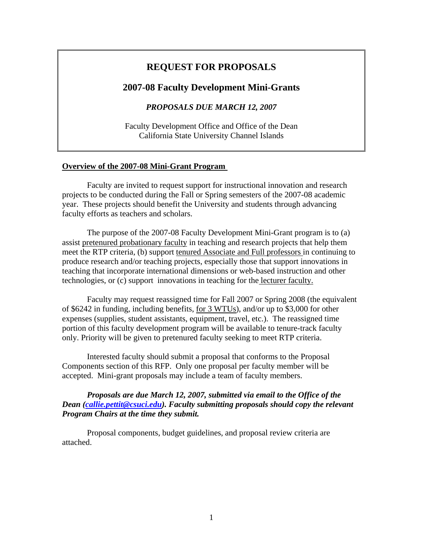# **REQUEST FOR PROPOSALS**

#### **2007-08 Faculty Development Mini-Grants**

*PROPOSALS DUE MARCH 12, 2007* 

Faculty Development Office and Office of the Dean California State University Channel Islands

#### **Overview of the 2007-08 Mini-Grant Program**

Faculty are invited to request support for instructional innovation and research projects to be conducted during the Fall or Spring semesters of the 2007-08 academic year. These projects should benefit the University and students through advancing faculty efforts as teachers and scholars.

The purpose of the 2007-08 Faculty Development Mini-Grant program is to (a) assist pretenured probationary faculty in teaching and research projects that help them meet the RTP criteria, (b) support tenured Associate and Full professors in continuing to produce research and/or teaching projects, especially those that support innovations in teaching that incorporate international dimensions or web-based instruction and other technologies, or (c) support innovations in teaching for the lecturer faculty.

Faculty may request reassigned time for Fall 2007 or Spring 2008 (the equivalent of \$6242 in funding, including benefits, for 3 WTUs), and/or up to \$3,000 for other expenses (supplies, student assistants, equipment, travel, etc.). The reassigned time portion of this faculty development program will be available to tenure-track faculty only. Priority will be given to pretenured faculty seeking to meet RTP criteria.

Interested faculty should submit a proposal that conforms to the Proposal Components section of this RFP. Only one proposal per faculty member will be accepted. Mini-grant proposals may include a team of faculty members.

#### *Proposals are due March 12, 2007, submitted via email to the Office of the Dean ([callie.pettit@csuci.edu](mailto:callie.pettit@csuci.edu)). Faculty submitting proposals should copy the relevant Program Chairs at the time they submit.*

Proposal components, budget guidelines, and proposal review criteria are attached.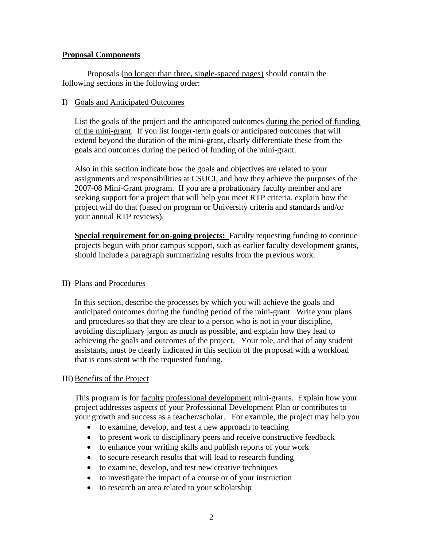### **Proposal Components**

Proposals (no longer than three, single-spaced pages) should contain the following sections in the following order:

#### I) Goals and Anticipated Outcomes

List the goals of the project and the anticipated outcomes during the period of funding of the mini-grant. If you list longer-term goals or anticipated outcomes that will extend beyond the duration of the mini-grant, clearly differentiate these from the goals and outcomes during the period of funding of the mini-grant.

Also in this section indicate how the goals and objectives are related to your assignments and responsibilities at CSUCI, and how they achieve the purposes of the 2007-08 Mini-Grant program. If you are a probationary faculty member and are seeking support for a project that will help you meet RTP criteria, explain how the project will do that (based on program or University criteria and standards and/or your annual RTP reviews).

**Special requirement for on-going projects:** Faculty requesting funding to continue projects begun with prior campus support, such as earlier faculty development grants, should include a paragraph summarizing results from the previous work.

# II) Plans and Procedures

In this section, describe the processes by which you will achieve the goals and anticipated outcomes during the funding period of the mini-grant. Write your plans and procedures so that they are clear to a person who is not in your discipline, avoiding disciplinary jargon as much as possible, and explain how they lead to achieving the goals and outcomes of the project. Your role, and that of any student assistants, must be clearly indicated in this section of the proposal with a workload that is consistent with the requested funding.

# III) Benefits of the Project

This program is for faculty professional development mini-grants. Explain how your project addresses aspects of your Professional Development Plan or contributes to your growth and success as a teacher/scholar. For example, the project may help you

- to examine, develop, and test a new approach to teaching
- to present work to disciplinary peers and receive constructive feedback
- to enhance your writing skills and publish reports of your work
- to secure research results that will lead to research funding
- to examine, develop, and test new creative techniques
- to investigate the impact of a course or of your instruction
- to research an area related to your scholarship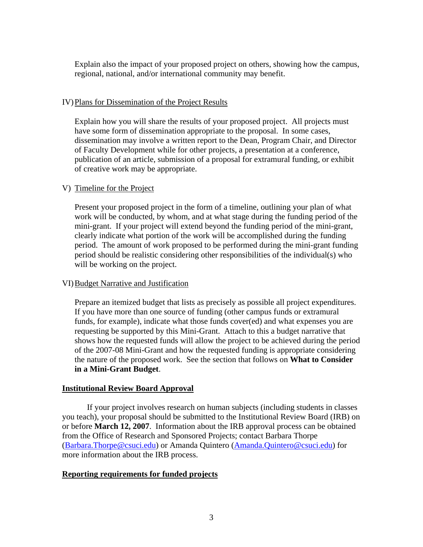Explain also the impact of your proposed project on others, showing how the campus, regional, national, and/or international community may benefit.

#### IV)Plans for Dissemination of the Project Results

Explain how you will share the results of your proposed project. All projects must have some form of dissemination appropriate to the proposal. In some cases, dissemination may involve a written report to the Dean, Program Chair, and Director of Faculty Development while for other projects, a presentation at a conference, publication of an article, submission of a proposal for extramural funding, or exhibit of creative work may be appropriate.

# V) Timeline for the Project

Present your proposed project in the form of a timeline, outlining your plan of what work will be conducted, by whom, and at what stage during the funding period of the mini-grant. If your project will extend beyond the funding period of the mini-grant, clearly indicate what portion of the work will be accomplished during the funding period. The amount of work proposed to be performed during the mini-grant funding period should be realistic considering other responsibilities of the individual(s) who will be working on the project.

# VI)Budget Narrative and Justification

Prepare an itemized budget that lists as precisely as possible all project expenditures. If you have more than one source of funding (other campus funds or extramural funds, for example), indicate what those funds cover(ed) and what expenses you are requesting be supported by this Mini-Grant. Attach to this a budget narrative that shows how the requested funds will allow the project to be achieved during the period of the 2007-08 Mini-Grant and how the requested funding is appropriate considering the nature of the proposed work. See the section that follows on **What to Consider in a Mini-Grant Budget**.

#### **Institutional Review Board Approval**

 If your project involves research on human subjects (including students in classes you teach), your proposal should be submitted to the Institutional Review Board (IRB) on or before **March 12, 2007**. Information about the IRB approval process can be obtained from the Office of Research and Sponsored Projects; contact Barbara Thorpe ([Barbara.Thorpe@csuci.edu\)](mailto:Barbara.Thorpe@csuci.edu) or Amanda Quintero ([Amanda.Quintero@csuci.edu](mailto:Amanda.Quintero@csuci.edu)) for more information about the IRB process.

# **Reporting requirements for funded projects**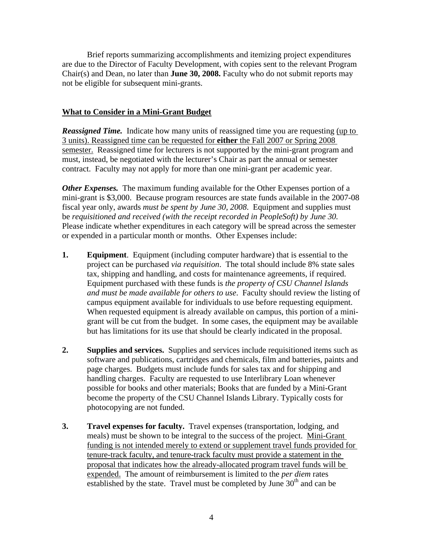Brief reports summarizing accomplishments and itemizing project expenditures are due to the Director of Faculty Development, with copies sent to the relevant Program Chair(s) and Dean, no later than **June 30, 2008.** Faculty who do not submit reports may not be eligible for subsequent mini-grants.

### **What to Consider in a Mini-Grant Budget**

*Reassigned Time.* Indicate how many units of reassigned time you are requesting (up to 3 units). Reassigned time can be requested for **either** the Fall 2007 or Spring 2008 semester. Reassigned time for lecturers is not supported by the mini-grant program and must, instead, be negotiated with the lecturer's Chair as part the annual or semester contract. Faculty may not apply for more than one mini-grant per academic year.

*Other Expenses.* The maximum funding available for the Other Expenses portion of a mini-grant is \$3,000. Because program resources are state funds available in the 2007-08 fiscal year only, awards *must be spent by June 30, 2008*. Equipment and supplies must be *requisitioned and received (with the receipt recorded in PeopleSoft) by June 30.*  Please indicate whether expenditures in each category will be spread across the semester or expended in a particular month or months. Other Expenses include:

- **1. Equipment**. Equipment (including computer hardware) that is essential to the project can be purchased *via requisition*. The total should include 8% state sales tax, shipping and handling, and costs for maintenance agreements, if required. Equipment purchased with these funds is *the property of CSU Channel Islands and must be made available for others to use*. Faculty should review the listing of campus equipment available for individuals to use before requesting equipment. When requested equipment is already available on campus, this portion of a minigrant will be cut from the budget. In some cases, the equipment may be available but has limitations for its use that should be clearly indicated in the proposal.
- **2. Supplies and services.** Supplies and services include requisitioned items such as software and publications, cartridges and chemicals, film and batteries, paints and page charges. Budgets must include funds for sales tax and for shipping and handling charges. Faculty are requested to use Interlibrary Loan whenever possible for books and other materials; Books that are funded by a Mini-Grant become the property of the CSU Channel Islands Library. Typically costs for photocopying are not funded.
- **3. Travel expenses for faculty.** Travel expenses (transportation, lodging, and meals) must be shown to be integral to the success of the project. Mini-Grant funding is not intended merely to extend or supplement travel funds provided for tenure-track faculty, and tenure-track faculty must provide a statement in the proposal that indicates how the already-allocated program travel funds will be expended. The amount of reimbursement is limited to the *per diem* rates established by the state. Travel must be completed by June  $30<sup>th</sup>$  and can be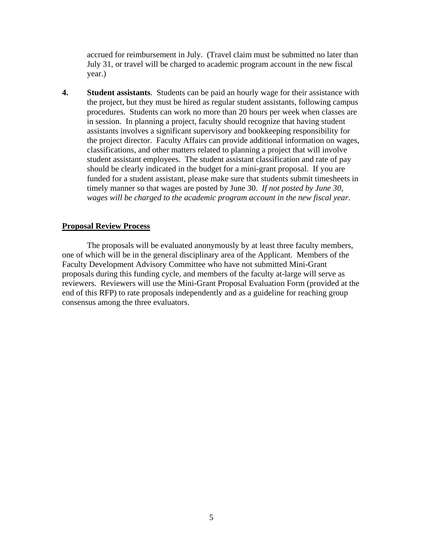accrued for reimbursement in July. (Travel claim must be submitted no later than July 31, or travel will be charged to academic program account in the new fiscal year.)

**4. Student assistants**. Students can be paid an hourly wage for their assistance with the project, but they must be hired as regular student assistants, following campus procedures. Students can work no more than 20 hours per week when classes are in session. In planning a project, faculty should recognize that having student assistants involves a significant supervisory and bookkeeping responsibility for the project director. Faculty Affairs can provide additional information on wages, classifications, and other matters related to planning a project that will involve student assistant employees. The student assistant classification and rate of pay should be clearly indicated in the budget for a mini-grant proposal. If you are funded for a student assistant, please make sure that students submit timesheets in timely manner so that wages are posted by June 30. *If not posted by June 30, wages will be charged to the academic program account in the new fiscal year*.

#### **Proposal Review Process**

The proposals will be evaluated anonymously by at least three faculty members, one of which will be in the general disciplinary area of the Applicant. Members of the Faculty Development Advisory Committee who have not submitted Mini-Grant proposals during this funding cycle, and members of the faculty at-large will serve as reviewers. Reviewers will use the Mini-Grant Proposal Evaluation Form (provided at the end of this RFP) to rate proposals independently and as a guideline for reaching group consensus among the three evaluators.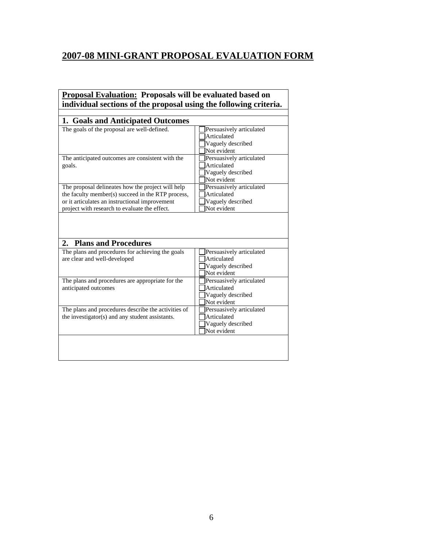# **2007-08 MINI-GRANT PROPOSAL EVALUATION FORM**

# **Proposal Evaluation: Proposals will be evaluated based on individual sections of the proposal using the following criteria.**

| 1. Goals and Anticipated Outcomes<br>The goals of the proposal are well-defined.                       | Persuasively articulated         |
|--------------------------------------------------------------------------------------------------------|----------------------------------|
|                                                                                                        | Articulated                      |
|                                                                                                        |                                  |
|                                                                                                        | Vaguely described<br>Not evident |
|                                                                                                        |                                  |
| The anticipated outcomes are consistent with the                                                       | Persuasively articulated         |
| goals.                                                                                                 | Articulated                      |
|                                                                                                        | Vaguely described                |
|                                                                                                        | Not evident                      |
| The proposal delineates how the project will help                                                      | Persuasively articulated         |
| the faculty member(s) succeed in the RTP process,                                                      | Articulated                      |
| or it articulates an instructional improvement                                                         | Vaguely described                |
|                                                                                                        | Not evident                      |
| project with research to evaluate the effect.                                                          |                                  |
| <b>Plans and Procedures</b><br>2.                                                                      |                                  |
| The plans and procedures for achieving the goals                                                       | Persuasively articulated         |
| are clear and well-developed                                                                           | Articulated                      |
|                                                                                                        | Vaguely described                |
|                                                                                                        | Not evident                      |
| The plans and procedures are appropriate for the                                                       | Persuasively articulated         |
| anticipated outcomes                                                                                   | Articulated                      |
|                                                                                                        | Vaguely described                |
|                                                                                                        | Not evident                      |
|                                                                                                        | Persuasively articulated         |
|                                                                                                        | Articulated                      |
| The plans and procedures describe the activities of<br>the investigator(s) and any student assistants. | Vaguely described<br>Not evident |